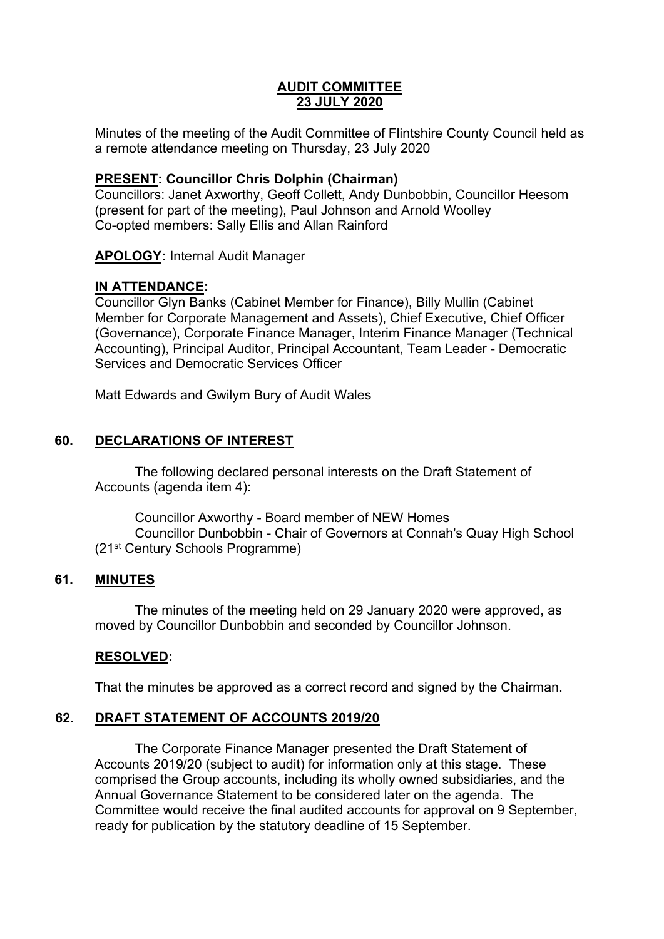# **AUDIT COMMITTEE 23 JULY 2020**

Minutes of the meeting of the Audit Committee of Flintshire County Council held as a remote attendance meeting on Thursday, 23 July 2020

# **PRESENT: Councillor Chris Dolphin (Chairman)**

Councillors: Janet Axworthy, Geoff Collett, Andy Dunbobbin, Councillor Heesom (present for part of the meeting), Paul Johnson and Arnold Woolley Co-opted members: Sally Ellis and Allan Rainford

**APOLOGY:** Internal Audit Manager

# **IN ATTENDANCE:**

Councillor Glyn Banks (Cabinet Member for Finance), Billy Mullin (Cabinet Member for Corporate Management and Assets), Chief Executive, Chief Officer (Governance), Corporate Finance Manager, Interim Finance Manager (Technical Accounting), Principal Auditor, Principal Accountant, Team Leader - Democratic Services and Democratic Services Officer

Matt Edwards and Gwilym Bury of Audit Wales

# **60. DECLARATIONS OF INTEREST**

The following declared personal interests on the Draft Statement of Accounts (agenda item 4):

Councillor Axworthy - Board member of NEW Homes Councillor Dunbobbin - Chair of Governors at Connah's Quay High School (21st Century Schools Programme)

# **61. MINUTES**

The minutes of the meeting held on 29 January 2020 were approved, as moved by Councillor Dunbobbin and seconded by Councillor Johnson.

# **RESOLVED:**

That the minutes be approved as a correct record and signed by the Chairman.

# **62. DRAFT STATEMENT OF ACCOUNTS 2019/20**

The Corporate Finance Manager presented the Draft Statement of Accounts 2019/20 (subject to audit) for information only at this stage. These comprised the Group accounts, including its wholly owned subsidiaries, and the Annual Governance Statement to be considered later on the agenda. The Committee would receive the final audited accounts for approval on 9 September, ready for publication by the statutory deadline of 15 September.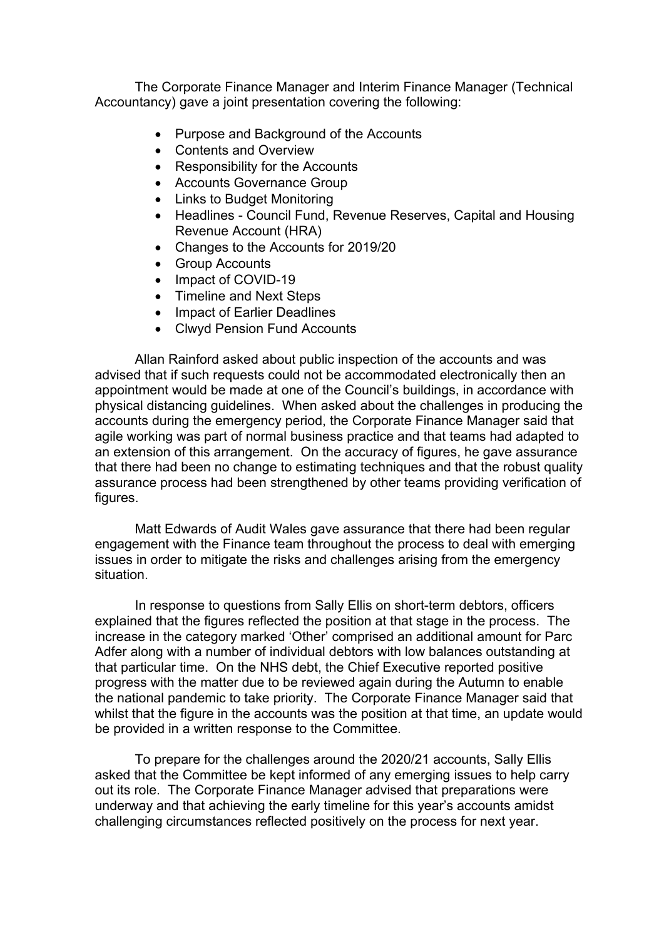The Corporate Finance Manager and Interim Finance Manager (Technical Accountancy) gave a joint presentation covering the following:

- Purpose and Background of the Accounts
- Contents and Overview
- Responsibility for the Accounts
- Accounts Governance Group
- Links to Budget Monitoring
- Headlines Council Fund, Revenue Reserves, Capital and Housing Revenue Account (HRA)
- Changes to the Accounts for 2019/20
- Group Accounts
- Impact of COVID-19
- Timeline and Next Steps
- Impact of Earlier Deadlines
- Clwyd Pension Fund Accounts

Allan Rainford asked about public inspection of the accounts and was advised that if such requests could not be accommodated electronically then an appointment would be made at one of the Council's buildings, in accordance with physical distancing guidelines. When asked about the challenges in producing the accounts during the emergency period, the Corporate Finance Manager said that agile working was part of normal business practice and that teams had adapted to an extension of this arrangement. On the accuracy of figures, he gave assurance that there had been no change to estimating techniques and that the robust quality assurance process had been strengthened by other teams providing verification of figures.

Matt Edwards of Audit Wales gave assurance that there had been regular engagement with the Finance team throughout the process to deal with emerging issues in order to mitigate the risks and challenges arising from the emergency situation.

In response to questions from Sally Ellis on short-term debtors, officers explained that the figures reflected the position at that stage in the process. The increase in the category marked 'Other' comprised an additional amount for Parc Adfer along with a number of individual debtors with low balances outstanding at that particular time. On the NHS debt, the Chief Executive reported positive progress with the matter due to be reviewed again during the Autumn to enable the national pandemic to take priority. The Corporate Finance Manager said that whilst that the figure in the accounts was the position at that time, an update would be provided in a written response to the Committee.

To prepare for the challenges around the 2020/21 accounts, Sally Ellis asked that the Committee be kept informed of any emerging issues to help carry out its role. The Corporate Finance Manager advised that preparations were underway and that achieving the early timeline for this year's accounts amidst challenging circumstances reflected positively on the process for next year.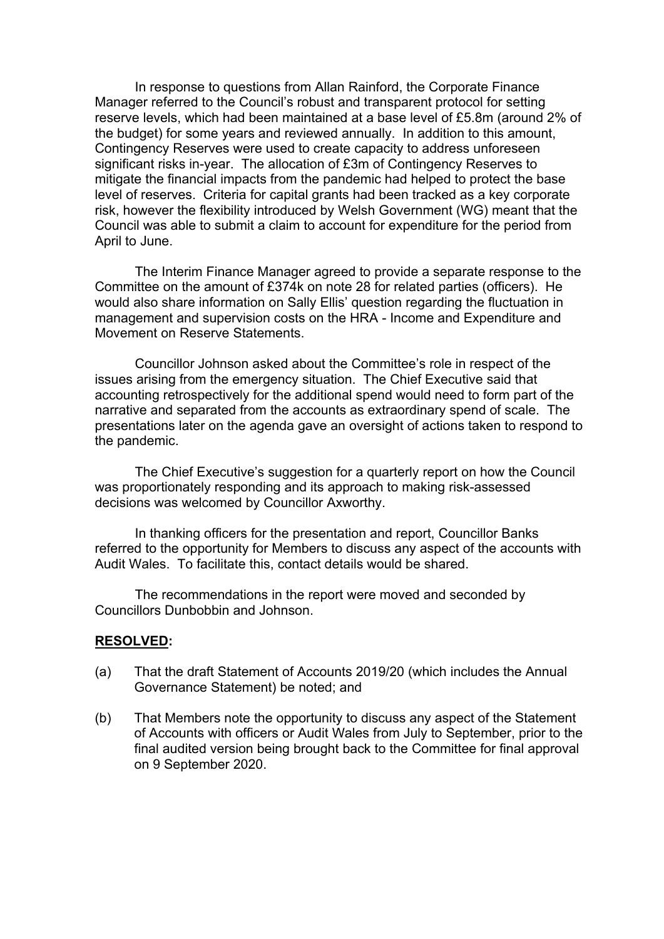In response to questions from Allan Rainford, the Corporate Finance Manager referred to the Council's robust and transparent protocol for setting reserve levels, which had been maintained at a base level of £5.8m (around 2% of the budget) for some years and reviewed annually. In addition to this amount, Contingency Reserves were used to create capacity to address unforeseen significant risks in-year. The allocation of £3m of Contingency Reserves to mitigate the financial impacts from the pandemic had helped to protect the base level of reserves. Criteria for capital grants had been tracked as a key corporate risk, however the flexibility introduced by Welsh Government (WG) meant that the Council was able to submit a claim to account for expenditure for the period from April to June.

The Interim Finance Manager agreed to provide a separate response to the Committee on the amount of £374k on note 28 for related parties (officers). He would also share information on Sally Ellis' question regarding the fluctuation in management and supervision costs on the HRA - Income and Expenditure and Movement on Reserve Statements.

Councillor Johnson asked about the Committee's role in respect of the issues arising from the emergency situation. The Chief Executive said that accounting retrospectively for the additional spend would need to form part of the narrative and separated from the accounts as extraordinary spend of scale. The presentations later on the agenda gave an oversight of actions taken to respond to the pandemic.

The Chief Executive's suggestion for a quarterly report on how the Council was proportionately responding and its approach to making risk-assessed decisions was welcomed by Councillor Axworthy.

In thanking officers for the presentation and report, Councillor Banks referred to the opportunity for Members to discuss any aspect of the accounts with Audit Wales. To facilitate this, contact details would be shared.

The recommendations in the report were moved and seconded by Councillors Dunbobbin and Johnson.

#### **RESOLVED:**

- (a) That the draft Statement of Accounts 2019/20 (which includes the Annual Governance Statement) be noted; and
- (b) That Members note the opportunity to discuss any aspect of the Statement of Accounts with officers or Audit Wales from July to September, prior to the final audited version being brought back to the Committee for final approval on 9 September 2020.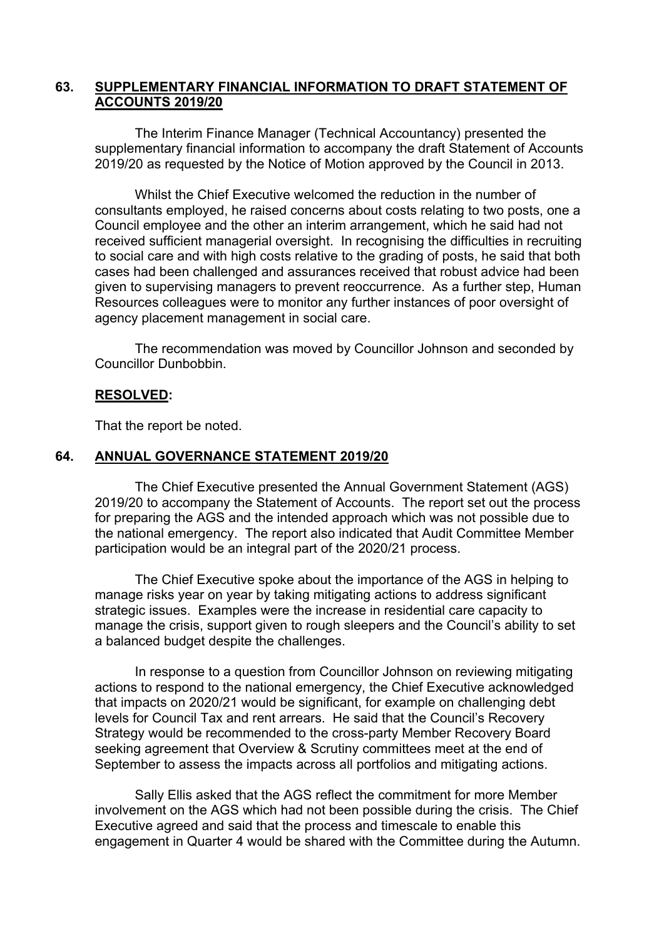### **63. SUPPLEMENTARY FINANCIAL INFORMATION TO DRAFT STATEMENT OF ACCOUNTS 2019/20**

The Interim Finance Manager (Technical Accountancy) presented the supplementary financial information to accompany the draft Statement of Accounts 2019/20 as requested by the Notice of Motion approved by the Council in 2013.

Whilst the Chief Executive welcomed the reduction in the number of consultants employed, he raised concerns about costs relating to two posts, one a Council employee and the other an interim arrangement, which he said had not received sufficient managerial oversight. In recognising the difficulties in recruiting to social care and with high costs relative to the grading of posts, he said that both cases had been challenged and assurances received that robust advice had been given to supervising managers to prevent reoccurrence. As a further step, Human Resources colleagues were to monitor any further instances of poor oversight of agency placement management in social care.

The recommendation was moved by Councillor Johnson and seconded by Councillor Dunbobbin.

#### **RESOLVED:**

That the report be noted.

#### **64. ANNUAL GOVERNANCE STATEMENT 2019/20**

The Chief Executive presented the Annual Government Statement (AGS) 2019/20 to accompany the Statement of Accounts. The report set out the process for preparing the AGS and the intended approach which was not possible due to the national emergency. The report also indicated that Audit Committee Member participation would be an integral part of the 2020/21 process.

The Chief Executive spoke about the importance of the AGS in helping to manage risks year on year by taking mitigating actions to address significant strategic issues. Examples were the increase in residential care capacity to manage the crisis, support given to rough sleepers and the Council's ability to set a balanced budget despite the challenges.

In response to a question from Councillor Johnson on reviewing mitigating actions to respond to the national emergency, the Chief Executive acknowledged that impacts on 2020/21 would be significant, for example on challenging debt levels for Council Tax and rent arrears. He said that the Council's Recovery Strategy would be recommended to the cross-party Member Recovery Board seeking agreement that Overview & Scrutiny committees meet at the end of September to assess the impacts across all portfolios and mitigating actions.

Sally Ellis asked that the AGS reflect the commitment for more Member involvement on the AGS which had not been possible during the crisis. The Chief Executive agreed and said that the process and timescale to enable this engagement in Quarter 4 would be shared with the Committee during the Autumn.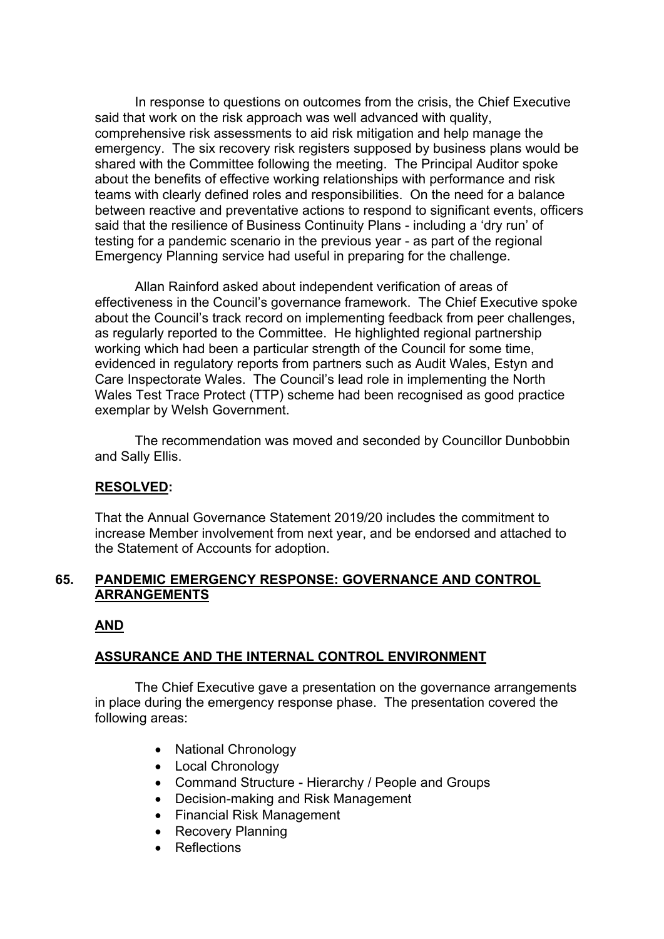In response to questions on outcomes from the crisis, the Chief Executive said that work on the risk approach was well advanced with quality, comprehensive risk assessments to aid risk mitigation and help manage the emergency. The six recovery risk registers supposed by business plans would be shared with the Committee following the meeting. The Principal Auditor spoke about the benefits of effective working relationships with performance and risk teams with clearly defined roles and responsibilities. On the need for a balance between reactive and preventative actions to respond to significant events, officers said that the resilience of Business Continuity Plans - including a 'dry run' of testing for a pandemic scenario in the previous year - as part of the regional Emergency Planning service had useful in preparing for the challenge.

Allan Rainford asked about independent verification of areas of effectiveness in the Council's governance framework. The Chief Executive spoke about the Council's track record on implementing feedback from peer challenges, as regularly reported to the Committee. He highlighted regional partnership working which had been a particular strength of the Council for some time, evidenced in regulatory reports from partners such as Audit Wales, Estyn and Care Inspectorate Wales. The Council's lead role in implementing the North Wales Test Trace Protect (TTP) scheme had been recognised as good practice exemplar by Welsh Government.

The recommendation was moved and seconded by Councillor Dunbobbin and Sally Ellis.

# **RESOLVED:**

That the Annual Governance Statement 2019/20 includes the commitment to increase Member involvement from next year, and be endorsed and attached to the Statement of Accounts for adoption.

# **65. PANDEMIC EMERGENCY RESPONSE: GOVERNANCE AND CONTROL ARRANGEMENTS**

# **AND**

# **ASSURANCE AND THE INTERNAL CONTROL ENVIRONMENT**

The Chief Executive gave a presentation on the governance arrangements in place during the emergency response phase. The presentation covered the following areas:

- National Chronology
- Local Chronology
- Command Structure Hierarchy / People and Groups
- Decision-making and Risk Management
- Financial Risk Management
- Recovery Planning
- Reflections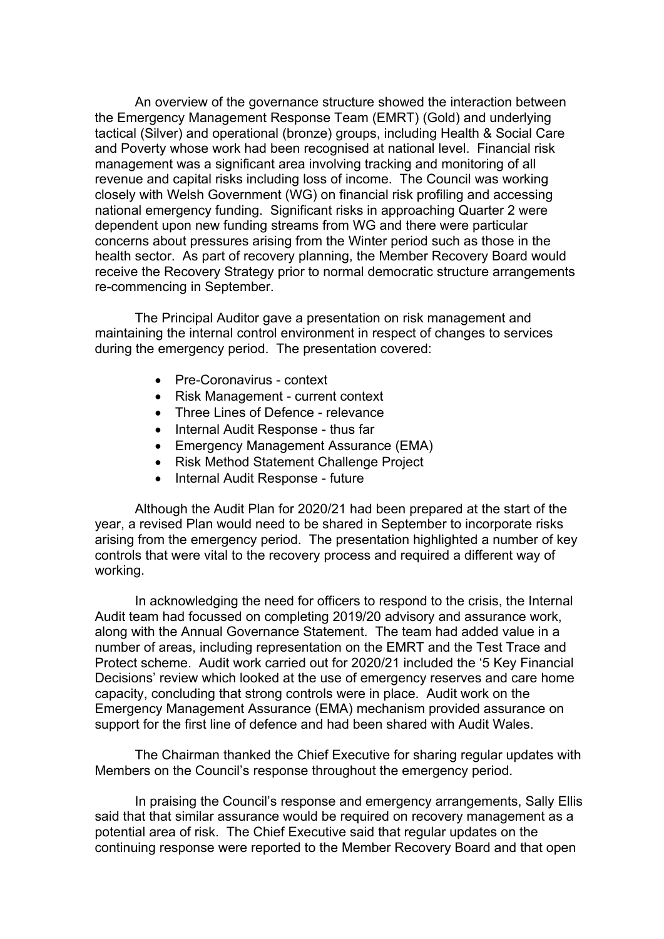An overview of the governance structure showed the interaction between the Emergency Management Response Team (EMRT) (Gold) and underlying tactical (Silver) and operational (bronze) groups, including Health & Social Care and Poverty whose work had been recognised at national level. Financial risk management was a significant area involving tracking and monitoring of all revenue and capital risks including loss of income. The Council was working closely with Welsh Government (WG) on financial risk profiling and accessing national emergency funding. Significant risks in approaching Quarter 2 were dependent upon new funding streams from WG and there were particular concerns about pressures arising from the Winter period such as those in the health sector. As part of recovery planning, the Member Recovery Board would receive the Recovery Strategy prior to normal democratic structure arrangements re-commencing in September.

The Principal Auditor gave a presentation on risk management and maintaining the internal control environment in respect of changes to services during the emergency period. The presentation covered:

- Pre-Coronavirus context
- Risk Management current context
- Three Lines of Defence relevance
- Internal Audit Response thus far
- Emergency Management Assurance (EMA)
- Risk Method Statement Challenge Project
- Internal Audit Response future

Although the Audit Plan for 2020/21 had been prepared at the start of the year, a revised Plan would need to be shared in September to incorporate risks arising from the emergency period. The presentation highlighted a number of key controls that were vital to the recovery process and required a different way of working.

In acknowledging the need for officers to respond to the crisis, the Internal Audit team had focussed on completing 2019/20 advisory and assurance work, along with the Annual Governance Statement. The team had added value in a number of areas, including representation on the EMRT and the Test Trace and Protect scheme. Audit work carried out for 2020/21 included the '5 Key Financial Decisions' review which looked at the use of emergency reserves and care home capacity, concluding that strong controls were in place. Audit work on the Emergency Management Assurance (EMA) mechanism provided assurance on support for the first line of defence and had been shared with Audit Wales.

The Chairman thanked the Chief Executive for sharing regular updates with Members on the Council's response throughout the emergency period.

In praising the Council's response and emergency arrangements, Sally Ellis said that that similar assurance would be required on recovery management as a potential area of risk. The Chief Executive said that regular updates on the continuing response were reported to the Member Recovery Board and that open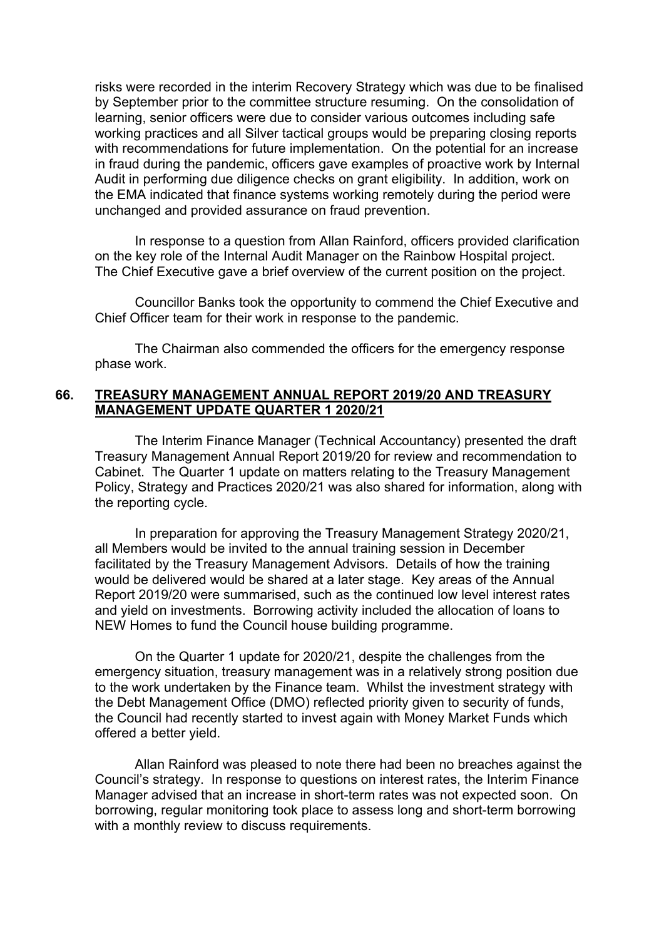risks were recorded in the interim Recovery Strategy which was due to be finalised by September prior to the committee structure resuming. On the consolidation of learning, senior officers were due to consider various outcomes including safe working practices and all Silver tactical groups would be preparing closing reports with recommendations for future implementation. On the potential for an increase in fraud during the pandemic, officers gave examples of proactive work by Internal Audit in performing due diligence checks on grant eligibility. In addition, work on the EMA indicated that finance systems working remotely during the period were unchanged and provided assurance on fraud prevention.

In response to a question from Allan Rainford, officers provided clarification on the key role of the Internal Audit Manager on the Rainbow Hospital project. The Chief Executive gave a brief overview of the current position on the project.

Councillor Banks took the opportunity to commend the Chief Executive and Chief Officer team for their work in response to the pandemic.

The Chairman also commended the officers for the emergency response phase work.

#### **66. TREASURY MANAGEMENT ANNUAL REPORT 2019/20 AND TREASURY MANAGEMENT UPDATE QUARTER 1 2020/21**

The Interim Finance Manager (Technical Accountancy) presented the draft Treasury Management Annual Report 2019/20 for review and recommendation to Cabinet. The Quarter 1 update on matters relating to the Treasury Management Policy, Strategy and Practices 2020/21 was also shared for information, along with the reporting cycle.

In preparation for approving the Treasury Management Strategy 2020/21, all Members would be invited to the annual training session in December facilitated by the Treasury Management Advisors. Details of how the training would be delivered would be shared at a later stage. Key areas of the Annual Report 2019/20 were summarised, such as the continued low level interest rates and yield on investments. Borrowing activity included the allocation of loans to NEW Homes to fund the Council house building programme.

On the Quarter 1 update for 2020/21, despite the challenges from the emergency situation, treasury management was in a relatively strong position due to the work undertaken by the Finance team. Whilst the investment strategy with the Debt Management Office (DMO) reflected priority given to security of funds, the Council had recently started to invest again with Money Market Funds which offered a better yield.

Allan Rainford was pleased to note there had been no breaches against the Council's strategy. In response to questions on interest rates, the Interim Finance Manager advised that an increase in short-term rates was not expected soon. On borrowing, regular monitoring took place to assess long and short-term borrowing with a monthly review to discuss requirements.